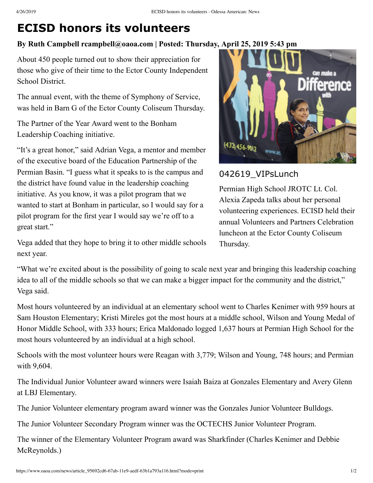# **ECISD honors its volunteers**

### **By Ruth Campbell rcampbell@oaoa.com | Posted: Thursday, April 25, 2019 5:43 pm**

About 450 people turned out to show their appreciation for those who give of their time to the Ector County Independent School District.

The annual event, with the theme of Symphony of Service, was held in Barn G of the Ector County Coliseum Thursday.

The Partner of the Year Award went to the Bonham Leadership Coaching initiative.

"It's a great honor," said Adrian Vega, a mentor and member of the executive board of the Education Partnership of the Permian Basin. "I guess what it speaks to is the campus and the district have found value in the leadership coaching initiative. As you know, it was a pilot program that we wanted to start at Bonham in particular, so I would say for a pilot program for the first year I would say we're off to a great start."



## 042619 VIPsLunch

Permian High School JROTC Lt. Col. Alexia Zapeda talks about her personal volunteering experiences. ECISD held their annual Volunteers and Partners Celebration luncheon at the Ector County Coliseum Thursday.

Vega added that they hope to bring it to other middle schools next year.

"What we're excited about is the possibility of going to scale next year and bringing this leadership coaching idea to all of the middle schools so that we can make a bigger impact for the community and the district," Vega said.

Most hours volunteered by an individual at an elementary school went to Charles Kenimer with 959 hours at Sam Houston Elementary; Kristi Mireles got the most hours at a middle school, Wilson and Young Medal of Honor Middle School, with 333 hours; Erica Maldonado logged 1,637 hours at Permian High School for the most hours volunteered by an individual at a high school.

Schools with the most volunteer hours were Reagan with 3,779; Wilson and Young, 748 hours; and Permian with 9,604.

The Individual Junior Volunteer award winners were Isaiah Baiza at Gonzales Elementary and Avery Glenn at LBJ Elementary.

The Junior Volunteer elementary program award winner was the Gonzales Junior Volunteer Bulldogs.

The Junior Volunteer Secondary Program winner was the OCTECHS Junior Volunteer Program.

The winner of the Elementary Volunteer Program award was Sharkfinder (Charles Kenimer and Debbie McReynolds.)